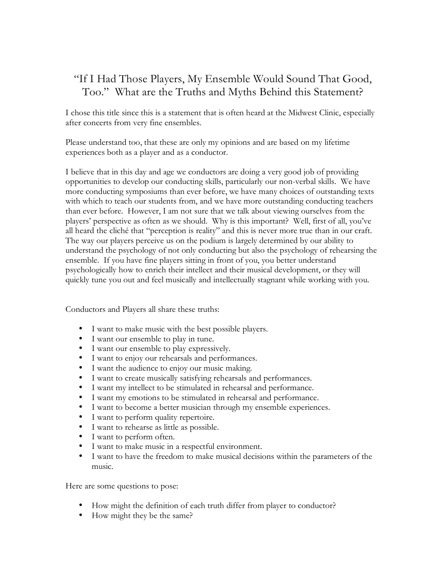## "If I Had Those Players, My Ensemble Would Sound That Good, Too." What are the Truths and Myths Behind this Statement?

I chose this title since this is a statement that is often heard at the Midwest Clinic, especially after concerts from very fine ensembles.

Please understand too, that these are only my opinions and are based on my lifetime experiences both as a player and as a conductor.

I believe that in this day and age we conductors are doing a very good job of providing opportunities to develop our conducting skills, particularly our non-verbal skills. We have more conducting symposiums than ever before, we have many choices of outstanding texts with which to teach our students from, and we have more outstanding conducting teachers than ever before. However, I am not sure that we talk about viewing ourselves from the players' perspective as often as we should. Why is this important? Well, first of all, you've all heard the cliché that "perception is reality" and this is never more true than in our craft. The way our players perceive us on the podium is largely determined by our ability to understand the psychology of not only conducting but also the psychology of rehearsing the ensemble. If you have fine players sitting in front of you, you better understand psychologically how to enrich their intellect and their musical development, or they will quickly tune you out and feel musically and intellectually stagnant while working with you.

Conductors and Players all share these truths:

- I want to make music with the best possible players.
- I want our ensemble to play in tune.
- I want our ensemble to play expressively.
- I want to enjoy our rehearsals and performances.
- I want the audience to enjoy our music making.
- I want to create musically satisfying rehearsals and performances.
- I want my intellect to be stimulated in rehearsal and performance.
- I want my emotions to be stimulated in rehearsal and performance.
- I want to become a better musician through my ensemble experiences.
- I want to perform quality repertoire.
- I want to rehearse as little as possible.
- I want to perform often.
- I want to make music in a respectful environment.
- I want to have the freedom to make musical decisions within the parameters of the music.

Here are some questions to pose:

- How might the definition of each truth differ from player to conductor?
- How might they be the same?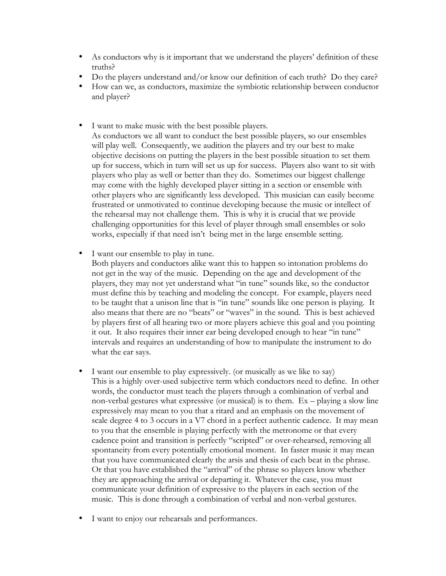- As conductors why is it important that we understand the players' definition of these truths?
- Do the players understand and/or know our definition of each truth? Do they care?
- How can we, as conductors, maximize the symbiotic relationship between conductor and player?
- I want to make music with the best possible players.

As conductors we all want to conduct the best possible players, so our ensembles will play well. Consequently, we audition the players and try our best to make objective decisions on putting the players in the best possible situation to set them up for success, which in turn will set us up for success. Players also want to sit with players who play as well or better than they do. Sometimes our biggest challenge may come with the highly developed player sitting in a section or ensemble with other players who are significantly less developed. This musician can easily become frustrated or unmotivated to continue developing because the music or intellect of the rehearsal may not challenge them. This is why it is crucial that we provide challenging opportunities for this level of player through small ensembles or solo works, especially if that need isn't being met in the large ensemble setting.

• I want our ensemble to play in tune.

Both players and conductors alike want this to happen so intonation problems do not get in the way of the music. Depending on the age and development of the players, they may not yet understand what "in tune" sounds like, so the conductor must define this by teaching and modeling the concept. For example, players need to be taught that a unison line that is "in tune" sounds like one person is playing. It also means that there are no "beats" or "waves" in the sound. This is best achieved by players first of all hearing two or more players achieve this goal and you pointing it out. It also requires their inner ear being developed enough to hear "in tune" intervals and requires an understanding of how to manipulate the instrument to do what the ear says.

- I want our ensemble to play expressively. (or musically as we like to say) This is a highly over-used subjective term which conductors need to define. In other words, the conductor must teach the players through a combination of verbal and non-verbal gestures what expressive (or musical) is to them. Ex – playing a slow line expressively may mean to you that a ritard and an emphasis on the movement of scale degree 4 to 3 occurs in a V7 chord in a perfect authentic cadence. It may mean to you that the ensemble is playing perfectly with the metronome or that every cadence point and transition is perfectly "scripted" or over-rehearsed, removing all spontaneity from every potentially emotional moment. In faster music it may mean that you have communicated clearly the arsis and thesis of each beat in the phrase. Or that you have established the "arrival" of the phrase so players know whether they are approaching the arrival or departing it. Whatever the case, you must communicate your definition of expressive to the players in each section of the music. This is done through a combination of verbal and non-verbal gestures.
- I want to enjoy our rehearsals and performances.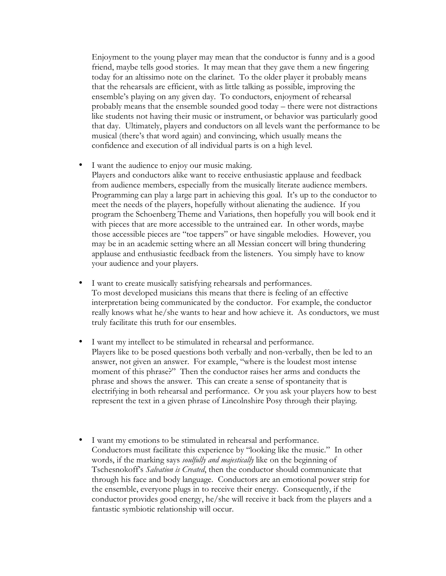Enjoyment to the young player may mean that the conductor is funny and is a good friend, maybe tells good stories. It may mean that they gave them a new fingering today for an altissimo note on the clarinet. To the older player it probably means that the rehearsals are efficient, with as little talking as possible, improving the ensemble's playing on any given day. To conductors, enjoyment of rehearsal probably means that the ensemble sounded good today – there were not distractions like students not having their music or instrument, or behavior was particularly good that day. Ultimately, players and conductors on all levels want the performance to be musical (there's that word again) and convincing, which usually means the confidence and execution of all individual parts is on a high level.

- I want the audience to enjoy our music making. Players and conductors alike want to receive enthusiastic applause and feedback from audience members, especially from the musically literate audience members. Programming can play a large part in achieving this goal. It's up to the conductor to meet the needs of the players, hopefully without alienating the audience. If you program the Schoenberg Theme and Variations, then hopefully you will book end it with pieces that are more accessible to the untrained ear. In other words, maybe those accessible pieces are "toe tappers" or have singable melodies. However, you may be in an academic setting where an all Messian concert will bring thundering applause and enthusiastic feedback from the listeners. You simply have to know your audience and your players.
- I want to create musically satisfying rehearsals and performances. To most developed musicians this means that there is feeling of an effective interpretation being communicated by the conductor. For example, the conductor really knows what he/she wants to hear and how achieve it. As conductors, we must truly facilitate this truth for our ensembles.
- I want my intellect to be stimulated in rehearsal and performance. Players like to be posed questions both verbally and non-verbally, then be led to an answer, not given an answer. For example, "where is the loudest most intense moment of this phrase?" Then the conductor raises her arms and conducts the phrase and shows the answer. This can create a sense of spontaneity that is electrifying in both rehearsal and performance. Or you ask your players how to best represent the text in a given phrase of Lincolnshire Posy through their playing.
- I want my emotions to be stimulated in rehearsal and performance. Conductors must facilitate this experience by "looking like the music." In other words, if the marking says *soulfully and majestically* like on the beginning of Tschesnokoff's *Salvation is Created*, then the conductor should communicate that through his face and body language. Conductors are an emotional power strip for the ensemble, everyone plugs in to receive their energy. Consequently, if the conductor provides good energy, he/she will receive it back from the players and a fantastic symbiotic relationship will occur.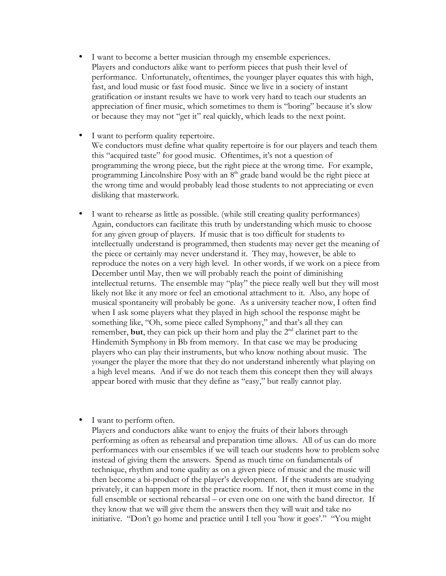- I want to become a better musician through my ensemble experiences. Players and conductors alike want to perform pieces that push their level of performance. Unfortunately, oftentimes, the younger player equates this with high, fast, and loud music or fast food music. Since we live in a society of instant gratification or instant results we have to work very hard to teach our students an appreciation of finer music, which sometimes to them is "boring" because it's slow or because they may not "get it" real quickly, which leads to the next point.
- I want to perform quality repertoire. We conductors must define what quality repertoire is for our players and teach them this "acquired taste" for good music. Oftentimes, it's not a question of programming the wrong piece, but the right piece at the wrong time. For example, programming Lincolnshire Posy with an  $8<sup>th</sup>$  grade band would be the right piece at the wrong time and would probably lead those students to not appreciating or even disliking that masterwork.
- I want to rehearse as little as possible. (while still creating quality performances) Again, conductors can facilitate this truth by understanding which music to choose for any given group of players. If music that is too difficult for students to intellectually understand is programmed, then students may never get the meaning of the piece or certainly may never understand it. They may, however, be able to reproduce the notes on a very high level. In other words, if we work on a piece from December until May, then we will probably reach the point of diminishing intellectual returns. The ensemble may "play" the piece really well but they will most likely not like it any more or feel an emotional attachment to it. Also, any hope of musical spontaneity will probably be gone. As a university teacher now, I often find when I ask some players what they played in high school the response might be something like, "Oh, some piece called Symphony," and that's all they can remember, but, they can pick up their horn and play the  $2<sup>nd</sup>$  clarinet part to the Hindemith Symphony in Bb from memory. In that case we may be producing players who can play their instruments, but who know nothing about music. The younger the player the more that they do not understand inherently what playing on a high level means. And if we do not teach them this concept then they will always appear bored with music that they define as "easy," but really cannot play.
- I want to perform often.

Players and conductors alike want to enjoy the fruits of their labors through performing as often as rehearsal and preparation time allows. All of us can do more performances with our ensembles if we will teach our students how to problem solve instead of giving them the answers. Spend as much time on fundamentals of technique, rhythm and tone quality as on a given piece of music and the music will then become a bi-product of the player's development. If the students are studying privately, it can happen more in the practice room. If not, then it must come in the full ensemble or sectional rehearsal – or even one on one with the band director. If they know that we will give them the answers then they will wait and take no initiative. "Don't go home and practice until I tell you 'how it goes'." "You might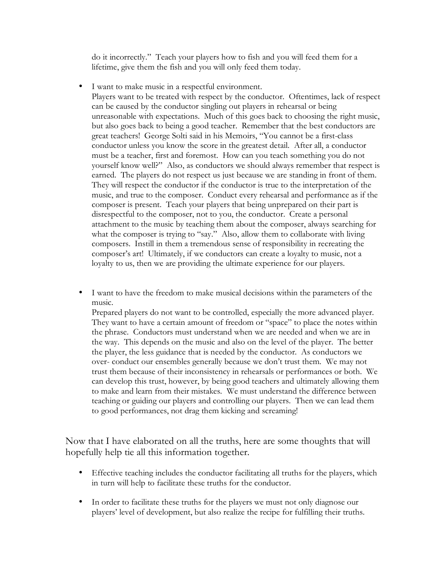do it incorrectly." Teach your players how to fish and you will feed them for a lifetime, give them the fish and you will only feed them today.

- I want to make music in a respectful environment. Players want to be treated with respect by the conductor. Oftentimes, lack of respect can be caused by the conductor singling out players in rehearsal or being unreasonable with expectations. Much of this goes back to choosing the right music, but also goes back to being a good teacher. Remember that the best conductors are great teachers! George Solti said in his Memoirs, "You cannot be a first-class conductor unless you know the score in the greatest detail. After all, a conductor must be a teacher, first and foremost. How can you teach something you do not yourself know well?" Also, as conductors we should always remember that respect is earned. The players do not respect us just because we are standing in front of them. They will respect the conductor if the conductor is true to the interpretation of the music, and true to the composer. Conduct every rehearsal and performance as if the composer is present. Teach your players that being unprepared on their part is disrespectful to the composer, not to you, the conductor. Create a personal attachment to the music by teaching them about the composer, always searching for what the composer is trying to "say." Also, allow them to collaborate with living composers. Instill in them a tremendous sense of responsibility in recreating the composer's art! Ultimately, if we conductors can create a loyalty to music, not a loyalty to us, then we are providing the ultimate experience for our players.
- I want to have the freedom to make musical decisions within the parameters of the music.

Prepared players do not want to be controlled, especially the more advanced player. They want to have a certain amount of freedom or "space" to place the notes within the phrase. Conductors must understand when we are needed and when we are in the way. This depends on the music and also on the level of the player. The better the player, the less guidance that is needed by the conductor. As conductors we over- conduct our ensembles generally because we don't trust them. We may not trust them because of their inconsistency in rehearsals or performances or both. We can develop this trust, however, by being good teachers and ultimately allowing them to make and learn from their mistakes. We must understand the difference between teaching or guiding our players and controlling our players. Then we can lead them to good performances, not drag them kicking and screaming!

Now that I have elaborated on all the truths, here are some thoughts that will hopefully help tie all this information together.

- Effective teaching includes the conductor facilitating all truths for the players, which in turn will help to facilitate these truths for the conductor.
- In order to facilitate these truths for the players we must not only diagnose our players' level of development, but also realize the recipe for fulfilling their truths.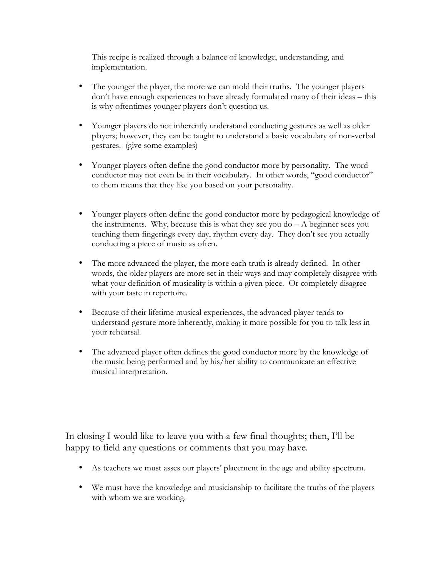This recipe is realized through a balance of knowledge, understanding, and implementation.

- The younger the player, the more we can mold their truths. The younger players don't have enough experiences to have already formulated many of their ideas – this is why oftentimes younger players don't question us.
- Younger players do not inherently understand conducting gestures as well as older players; however, they can be taught to understand a basic vocabulary of non-verbal gestures. (give some examples)
- Younger players often define the good conductor more by personality. The word conductor may not even be in their vocabulary. In other words, "good conductor" to them means that they like you based on your personality.
- Younger players often define the good conductor more by pedagogical knowledge of the instruments. Why, because this is what they see you  $do - A$  beginner sees you teaching them fingerings every day, rhythm every day. They don't see you actually conducting a piece of music as often.
- The more advanced the player, the more each truth is already defined. In other words, the older players are more set in their ways and may completely disagree with what your definition of musicality is within a given piece. Or completely disagree with your taste in repertoire.
- Because of their lifetime musical experiences, the advanced player tends to understand gesture more inherently, making it more possible for you to talk less in your rehearsal.
- The advanced player often defines the good conductor more by the knowledge of the music being performed and by his/her ability to communicate an effective musical interpretation.

In closing I would like to leave you with a few final thoughts; then, I'll be happy to field any questions or comments that you may have.

- As teachers we must asses our players' placement in the age and ability spectrum.
- We must have the knowledge and musicianship to facilitate the truths of the players with whom we are working.